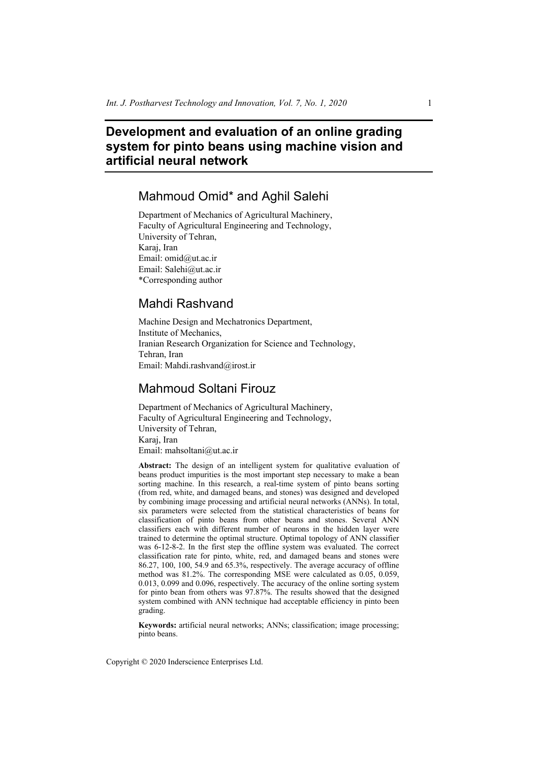# **Development and evaluation of an online grading system for pinto beans using machine vision and artificial neural network**

# Mahmoud Omid\* and Aghil Salehi

Department of Mechanics of Agricultural Machinery, Faculty of Agricultural Engineering and Technology, University of Tehran, Karaj, Iran Email: omid@ut.ac.ir Email: Salehi@ut.ac.ir \*Corresponding author

# Mahdi Rashvand

Machine Design and Mechatronics Department, Institute of Mechanics, Iranian Research Organization for Science and Technology, Tehran, Iran Email: Mahdi.rashvand@irost.ir

# Mahmoud Soltani Firouz

Department of Mechanics of Agricultural Machinery, Faculty of Agricultural Engineering and Technology, University of Tehran, Karaj, Iran Email: mahsoltani@ut.ac.ir

**Abstract:** The design of an intelligent system for qualitative evaluation of beans product impurities is the most important step necessary to make a bean sorting machine. In this research, a real-time system of pinto beans sorting (from red, white, and damaged beans, and stones) was designed and developed by combining image processing and artificial neural networks (ANNs). In total, six parameters were selected from the statistical characteristics of beans for classification of pinto beans from other beans and stones. Several ANN classifiers each with different number of neurons in the hidden layer were trained to determine the optimal structure. Optimal topology of ANN classifier was 6-12-8-2. In the first step the offline system was evaluated. The correct classification rate for pinto, white, red, and damaged beans and stones were 86.27, 100, 100, 54.9 and 65.3%, respectively. The average accuracy of offline method was 81.2%. The corresponding MSE were calculated as 0.05, 0.059, 0.013, 0.099 and 0.096, respectively. The accuracy of the online sorting system for pinto bean from others was 97.87%. The results showed that the designed system combined with ANN technique had acceptable efficiency in pinto been grading.

**Keywords:** artificial neural networks; ANNs; classification; image processing; pinto beans.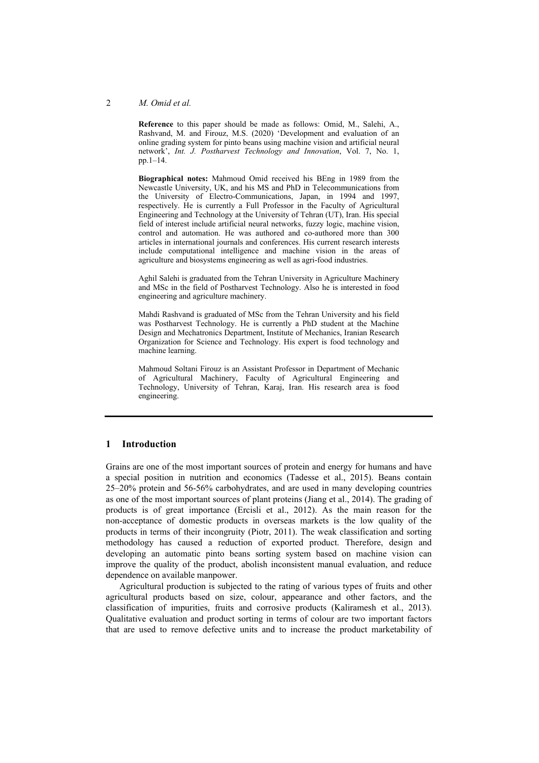#### 2 *M. Omid et al.*

**Reference** to this paper should be made as follows: Omid, M., Salehi, A., Rashvand, M. and Firouz, M.S. (2020) 'Development and evaluation of an online grading system for pinto beans using machine vision and artificial neural network', *Int. J. Postharvest Technology and Innovation*, Vol. 7, No. 1, pp.1–14.

**Biographical notes:** Mahmoud Omid received his BEng in 1989 from the Newcastle University, UK, and his MS and PhD in Telecommunications from the University of Electro-Communications, Japan, in 1994 and 1997, respectively. He is currently a Full Professor in the Faculty of Agricultural Engineering and Technology at the University of Tehran (UT), Iran. His special field of interest include artificial neural networks, fuzzy logic, machine vision, control and automation. He was authored and co-authored more than 300 articles in international journals and conferences. His current research interests include computational intelligence and machine vision in the areas of agriculture and biosystems engineering as well as agri-food industries.

Aghil Salehi is graduated from the Tehran University in Agriculture Machinery and MSc in the field of Postharvest Technology. Also he is interested in food engineering and agriculture machinery.

Mahdi Rashvand is graduated of MSc from the Tehran University and his field was Postharvest Technology. He is currently a PhD student at the Machine Design and Mechatronics Department, Institute of Mechanics, Iranian Research Organization for Science and Technology. His expert is food technology and machine learning.

Mahmoud Soltani Firouz is an Assistant Professor in Department of Mechanic of Agricultural Machinery, Faculty of Agricultural Engineering and Technology, University of Tehran, Karaj, Iran. His research area is food engineering.

### **1 Introduction**

Grains are one of the most important sources of protein and energy for humans and have a special position in nutrition and economics (Tadesse et al., 2015). Beans contain 25–20% protein and 56-56% carbohydrates, and are used in many developing countries as one of the most important sources of plant proteins (Jiang et al., 2014). The grading of products is of great importance (Ercisli et al., 2012). As the main reason for the non-acceptance of domestic products in overseas markets is the low quality of the products in terms of their incongruity (Piotr, 2011). The weak classification and sorting methodology has caused a reduction of exported product. Therefore, design and developing an automatic pinto beans sorting system based on machine vision can improve the quality of the product, abolish inconsistent manual evaluation, and reduce dependence on available manpower.

Agricultural production is subjected to the rating of various types of fruits and other agricultural products based on size, colour, appearance and other factors, and the classification of impurities, fruits and corrosive products (Kaliramesh et al., 2013). Qualitative evaluation and product sorting in terms of colour are two important factors that are used to remove defective units and to increase the product marketability of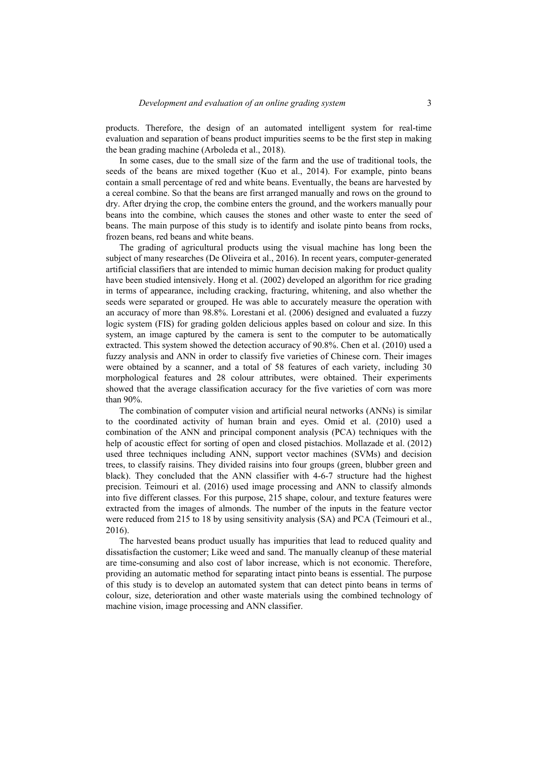products. Therefore, the design of an automated intelligent system for real-time evaluation and separation of beans product impurities seems to be the first step in making the bean grading machine (Arboleda et al., 2018).

In some cases, due to the small size of the farm and the use of traditional tools, the seeds of the beans are mixed together (Kuo et al., 2014). For example, pinto beans contain a small percentage of red and white beans. Eventually, the beans are harvested by a cereal combine. So that the beans are first arranged manually and rows on the ground to dry. After drying the crop, the combine enters the ground, and the workers manually pour beans into the combine, which causes the stones and other waste to enter the seed of beans. The main purpose of this study is to identify and isolate pinto beans from rocks, frozen beans, red beans and white beans.

The grading of agricultural products using the visual machine has long been the subject of many researches (De Oliveira et al., 2016). In recent years, computer-generated artificial classifiers that are intended to mimic human decision making for product quality have been studied intensively. Hong et al. (2002) developed an algorithm for rice grading in terms of appearance, including cracking, fracturing, whitening, and also whether the seeds were separated or grouped. He was able to accurately measure the operation with an accuracy of more than 98.8%. Lorestani et al. (2006) designed and evaluated a fuzzy logic system (FIS) for grading golden delicious apples based on colour and size. In this system, an image captured by the camera is sent to the computer to be automatically extracted. This system showed the detection accuracy of 90.8%. Chen et al. (2010) used a fuzzy analysis and ANN in order to classify five varieties of Chinese corn. Their images were obtained by a scanner, and a total of 58 features of each variety, including 30 morphological features and 28 colour attributes, were obtained. Their experiments showed that the average classification accuracy for the five varieties of corn was more than 90%.

The combination of computer vision and artificial neural networks (ANNs) is similar to the coordinated activity of human brain and eyes. Omid et al. (2010) used a combination of the ANN and principal component analysis (PCA) techniques with the help of acoustic effect for sorting of open and closed pistachios. Mollazade et al. (2012) used three techniques including ANN, support vector machines (SVMs) and decision trees, to classify raisins. They divided raisins into four groups (green, blubber green and black). They concluded that the ANN classifier with 4-6-7 structure had the highest precision. Teimouri et al. (2016) used image processing and ANN to classify almonds into five different classes. For this purpose, 215 shape, colour, and texture features were extracted from the images of almonds. The number of the inputs in the feature vector were reduced from 215 to 18 by using sensitivity analysis (SA) and PCA (Teimouri et al., 2016).

The harvested beans product usually has impurities that lead to reduced quality and dissatisfaction the customer; Like weed and sand. The manually cleanup of these material are time-consuming and also cost of labor increase, which is not economic. Therefore, providing an automatic method for separating intact pinto beans is essential. The purpose of this study is to develop an automated system that can detect pinto beans in terms of colour, size, deterioration and other waste materials using the combined technology of machine vision, image processing and ANN classifier.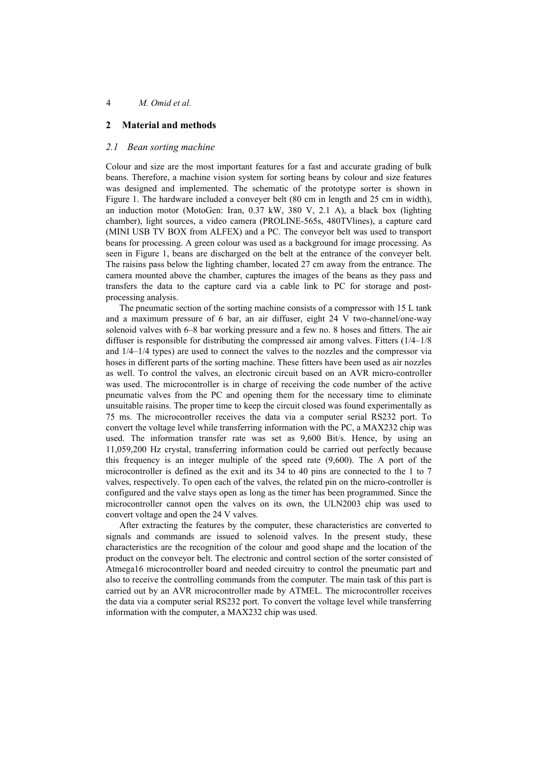## **2 Material and methods**

#### *2.1 Bean sorting machine*

Colour and size are the most important features for a fast and accurate grading of bulk beans. Therefore, a machine vision system for sorting beans by colour and size features was designed and implemented. The schematic of the prototype sorter is shown in Figure 1. The hardware included a conveyer belt (80 cm in length and 25 cm in width), an induction motor (MotoGen: Iran, 0.37 kW, 380 V, 2.1 A), a black box (lighting chamber), light sources, a video camera (PROLINE-565s, 480TVlines), a capture card (MINI USB TV BOX from ALFEX) and a PC. The conveyor belt was used to transport beans for processing. A green colour was used as a background for image processing. As seen in Figure 1, beans are discharged on the belt at the entrance of the conveyer belt. The raisins pass below the lighting chamber, located 27 cm away from the entrance. The camera mounted above the chamber, captures the images of the beans as they pass and transfers the data to the capture card via a cable link to PC for storage and postprocessing analysis.

The pneumatic section of the sorting machine consists of a compressor with 15 L tank and a maximum pressure of 6 bar, an air diffuser, eight 24 V two-channel/one-way solenoid valves with 6–8 bar working pressure and a few no. 8 hoses and fitters. The air diffuser is responsible for distributing the compressed air among valves. Fitters (1/4–1/8 and 1/4–1/4 types) are used to connect the valves to the nozzles and the compressor via hoses in different parts of the sorting machine. These fitters have been used as air nozzles as well. To control the valves, an electronic circuit based on an AVR micro-controller was used. The microcontroller is in charge of receiving the code number of the active pneumatic valves from the PC and opening them for the necessary time to eliminate unsuitable raisins. The proper time to keep the circuit closed was found experimentally as 75 ms. The microcontroller receives the data via a computer serial RS232 port. To convert the voltage level while transferring information with the PC, a MAX232 chip was used. The information transfer rate was set as 9,600 Bit/s. Hence, by using an 11,059,200 Hz crystal, transferring information could be carried out perfectly because this frequency is an integer multiple of the speed rate (9,600). The A port of the microcontroller is defined as the exit and its 34 to 40 pins are connected to the 1 to 7 valves, respectively. To open each of the valves, the related pin on the micro-controller is configured and the valve stays open as long as the timer has been programmed. Since the microcontroller cannot open the valves on its own, the ULN2003 chip was used to convert voltage and open the 24 V valves.

After extracting the features by the computer, these characteristics are converted to signals and commands are issued to solenoid valves. In the present study, these characteristics are the recognition of the colour and good shape and the location of the product on the conveyor belt. The electronic and control section of the sorter consisted of Atmega16 microcontroller board and needed circuitry to control the pneumatic part and also to receive the controlling commands from the computer. The main task of this part is carried out by an AVR microcontroller made by ATMEL. The microcontroller receives the data via a computer serial RS232 port. To convert the voltage level while transferring information with the computer, a MAX232 chip was used.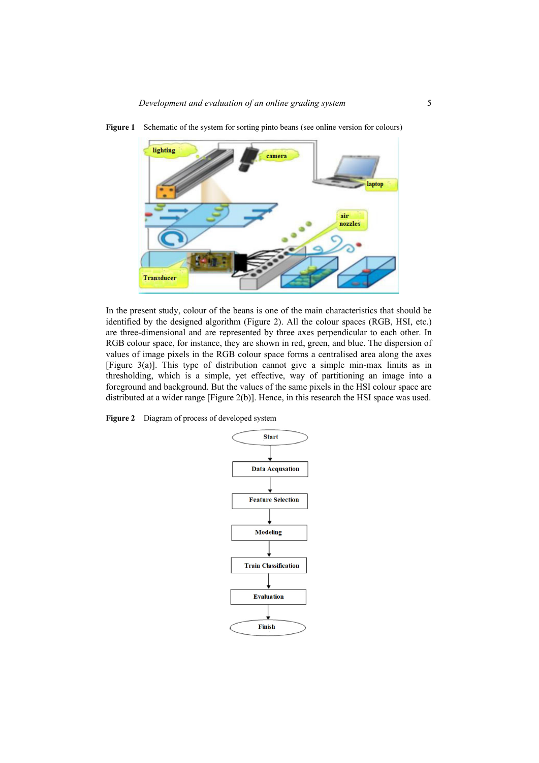

Figure 1 Schematic of the system for sorting pinto beans (see online version for colours)

In the present study, colour of the beans is one of the main characteristics that should be identified by the designed algorithm (Figure 2). All the colour spaces (RGB, HSI, etc.) are three-dimensional and are represented by three axes perpendicular to each other. In RGB colour space, for instance, they are shown in red, green, and blue. The dispersion of values of image pixels in the RGB colour space forms a centralised area along the axes [Figure 3(a)]. This type of distribution cannot give a simple min-max limits as in thresholding, which is a simple, yet effective, way of partitioning an image into a foreground and background. But the values of the same pixels in the HSI colour space are distributed at a wider range [Figure 2(b)]. Hence, in this research the HSI space was used.

**Figure 2** Diagram of process of developed system

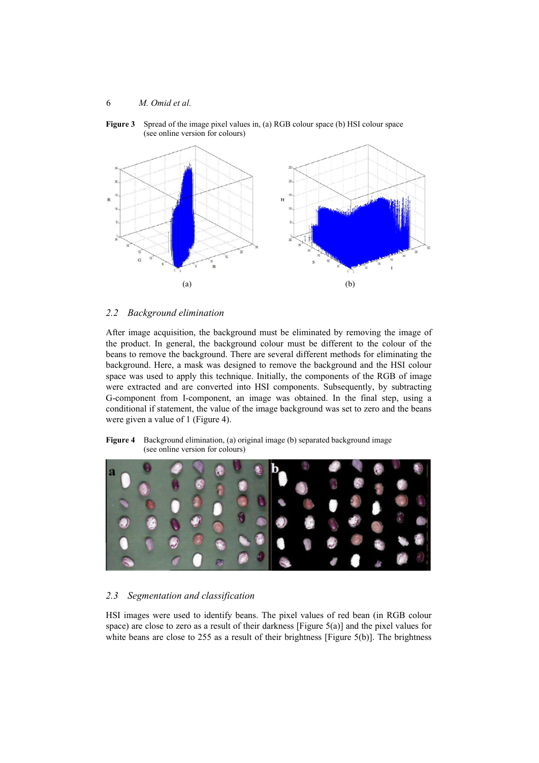**Figure 3** Spread of the image pixel values in, (a) RGB colour space (b) HSI colour space (see online version for colours)



### *2.2 Background elimination*

After image acquisition, the background must be eliminated by removing the image of the product. In general, the background colour must be different to the colour of the beans to remove the background. There are several different methods for eliminating the background. Here, a mask was designed to remove the background and the HSI colour space was used to apply this technique. Initially, the components of the RGB of image were extracted and are converted into HSI components. Subsequently, by subtracting G-component from I-component, an image was obtained. In the final step, using a conditional if statement, the value of the image background was set to zero and the beans were given a value of 1 (Figure 4).

**Figure 4** Background elimination, (a) original image (b) separated background image (see online version for colours)



# *2.3 Segmentation and classification*

HSI images were used to identify beans. The pixel values of red bean (in RGB colour space) are close to zero as a result of their darkness [Figure  $5(a)$ ] and the pixel values for white beans are close to 255 as a result of their brightness [Figure 5(b)]. The brightness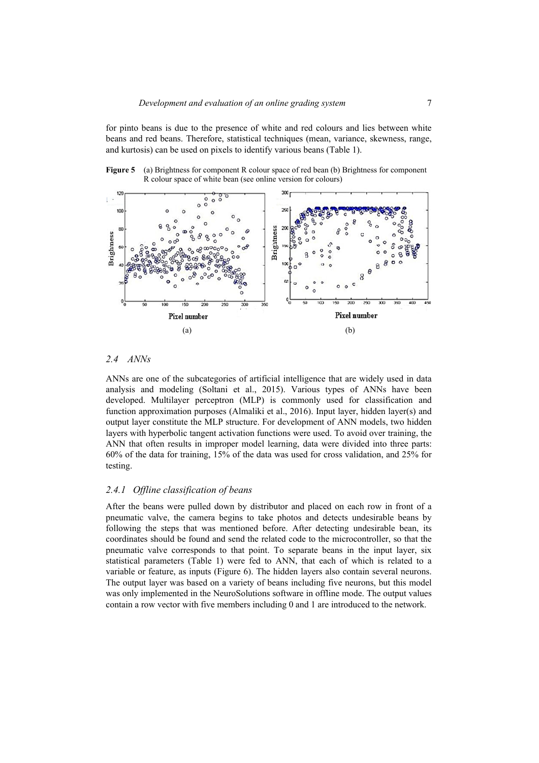for pinto beans is due to the presence of white and red colours and lies between white beans and red beans. Therefore, statistical techniques (mean, variance, skewness, range, and kurtosis) can be used on pixels to identify various beans (Table 1).



**Figure 5** (a) Brightness for component R colour space of red bean (b) Brightness for component R colour space of white bean (see online version for colours)

#### *2.4 ANNs*

ANNs are one of the subcategories of artificial intelligence that are widely used in data analysis and modeling (Soltani et al., 2015). Various types of ANNs have been developed. Multilayer perceptron (MLP) is commonly used for classification and function approximation purposes (Almaliki et al., 2016). Input layer, hidden layer(s) and output layer constitute the MLP structure. For development of ANN models, two hidden layers with hyperbolic tangent activation functions were used. To avoid over training, the ANN that often results in improper model learning, data were divided into three parts: 60% of the data for training, 15% of the data was used for cross validation, and 25% for testing.

### *2.4.1 Offline classification of beans*

After the beans were pulled down by distributor and placed on each row in front of a pneumatic valve, the camera begins to take photos and detects undesirable beans by following the steps that was mentioned before. After detecting undesirable bean, its coordinates should be found and send the related code to the microcontroller, so that the pneumatic valve corresponds to that point. To separate beans in the input layer, six statistical parameters (Table 1) were fed to ANN, that each of which is related to a variable or feature, as inputs (Figure 6). The hidden layers also contain several neurons. The output layer was based on a variety of beans including five neurons, but this model was only implemented in the NeuroSolutions software in offline mode. The output values contain a row vector with five members including 0 and 1 are introduced to the network.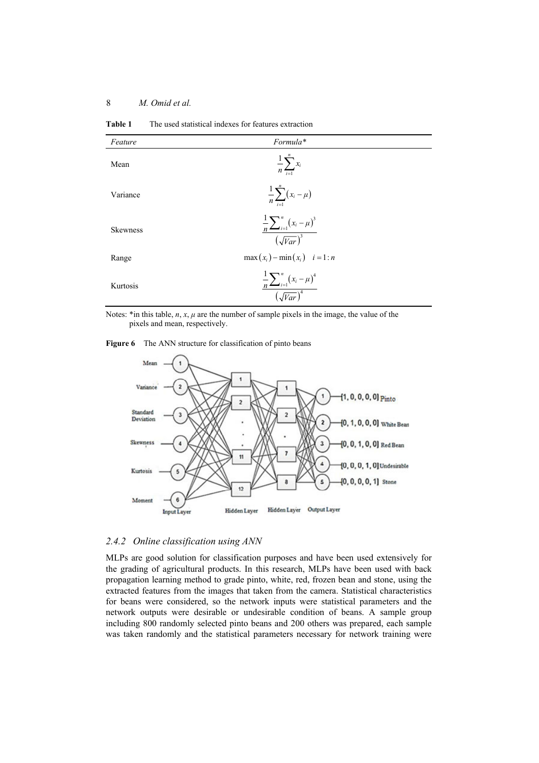| Feature         | Formula*                                                      |
|-----------------|---------------------------------------------------------------|
| Mean            | $\frac{1}{n}\sum_{i=1}^n x_i$                                 |
| Variance        | $\frac{1}{n}\sum_{i=1}^{n}(x_i-\mu)$                          |
| <b>Skewness</b> | $\frac{\frac{1}{n}\sum_{i=1}^{n}(x_i-\mu)^3}{(\sqrt{Var})^3}$ |
| Range           | $max(x_i) - min(x_i)$ $i = 1:n$                               |
| Kurtosis        | $\frac{1}{n} \sum_{i=1}^{n} (x_i - \mu)^4$                    |

**Table 1** The used statistical indexes for features extraction

Notes: \*in this table, *n*, *x*, *μ* are the number of sample pixels in the image, the value of the pixels and mean, respectively.

 $(\sqrt{Var})$ 

4

### Figure 6 The ANN structure for classification of pinto beans



## *2.4.2 Online classification using ANN*

MLPs are good solution for classification purposes and have been used extensively for the grading of agricultural products. In this research, MLPs have been used with back propagation learning method to grade pinto, white, red, frozen bean and stone, using the extracted features from the images that taken from the camera. Statistical characteristics for beans were considered, so the network inputs were statistical parameters and the network outputs were desirable or undesirable condition of beans. A sample group including 800 randomly selected pinto beans and 200 others was prepared, each sample was taken randomly and the statistical parameters necessary for network training were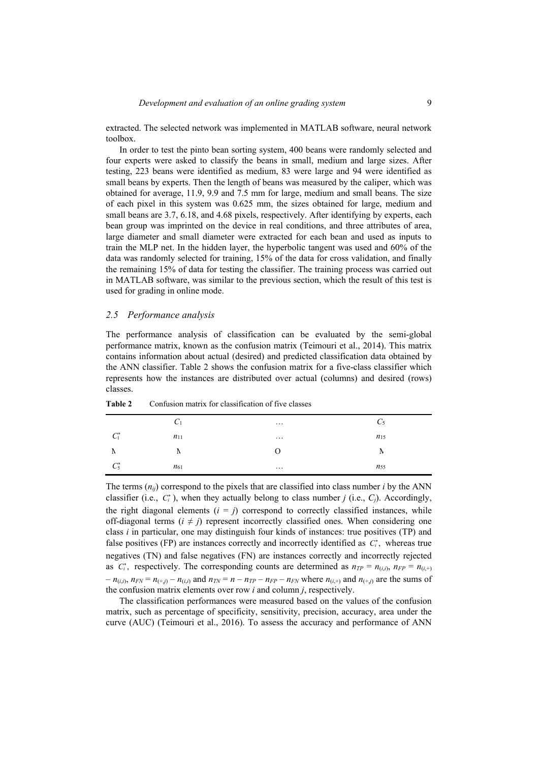extracted. The selected network was implemented in MATLAB software, neural network toolbox.

In order to test the pinto bean sorting system, 400 beans were randomly selected and four experts were asked to classify the beans in small, medium and large sizes. After testing, 223 beans were identified as medium, 83 were large and 94 were identified as small beans by experts. Then the length of beans was measured by the caliper, which was obtained for average, 11.9, 9.9 and 7.5 mm for large, medium and small beans. The size of each pixel in this system was 0.625 mm, the sizes obtained for large, medium and small beans are 3.7, 6.18, and 4.68 pixels, respectively. After identifying by experts, each bean group was imprinted on the device in real conditions, and three attributes of area, large diameter and small diameter were extracted for each bean and used as inputs to train the MLP net. In the hidden layer, the hyperbolic tangent was used and 60% of the data was randomly selected for training, 15% of the data for cross validation, and finally the remaining 15% of data for testing the classifier. The training process was carried out in MATLAB software, was similar to the previous section, which the result of this test is used for grading in online mode.

# *2.5 Performance analysis*

The performance analysis of classification can be evaluated by the semi-global performance matrix, known as the confusion matrix (Teimouri et al., 2014). This matrix contains information about actual (desired) and predicted classification data obtained by the ANN classifier. Table 2 shows the confusion matrix for a five-class classifier which represents how the instances are distributed over actual (columns) and desired (rows) classes.

|                              | $C_1$    | $\cdots$ | $C_5$    |
|------------------------------|----------|----------|----------|
| $\Gamma^*$<br>$\mathbf{v}_1$ | $n_{11}$ | $\cdots$ | $n_{15}$ |
| A                            | A        | Ω        | Ν        |
| $C_5^*$                      | $n_{61}$ | $\cdots$ | $n_{55}$ |

**Table 2** Confusion matrix for classification of five classes

The terms  $(n_{ij})$  correspond to the pixels that are classified into class number *i* by the ANN classifier (i.e.,  $C_i^*$ ), when they actually belong to class number *j* (i.e.,  $C_i$ ). Accordingly, the right diagonal elements  $(i = j)$  correspond to correctly classified instances, while off-diagonal terms  $(i \neq j)$  represent incorrectly classified ones. When considering one class *i* in particular, one may distinguish four kinds of instances: true positives (TP) and false positives (FP) are instances correctly and incorrectly identified as  $C_i^*$ , whereas true negatives (TN) and false negatives (FN) are instances correctly and incorrectly rejected as  $C_i^*$ , respectively. The corresponding counts are determined as  $n_{TP} = n_{(i,i)}$ ,  $n_{FP} = n_{(i,+)}$  $-n_{(i,i)}$ ,  $n_{FN} = n_{(+,i)} - n_{(i,i)}$  and  $n_{TN} = n - n_{TP} - n_{FP} - n_{FN}$  where  $n_{(i,+)}$  and  $n_{(+,i)}$  are the sums of the confusion matrix elements over row *i* and column *j*, respectively.

The classification performances were measured based on the values of the confusion matrix, such as percentage of specificity, sensitivity, precision, accuracy, area under the curve (AUC) (Teimouri et al., 2016). To assess the accuracy and performance of ANN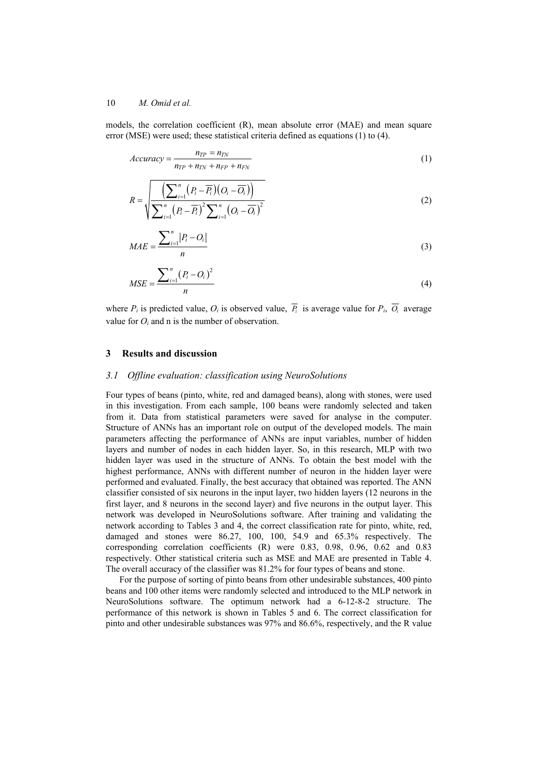models, the correlation coefficient (R), mean absolute error (MAE) and mean square error (MSE) were used; these statistical criteria defined as equations (1) to (4).

$$
Accuracy = \frac{n_{TP} = n_{TN}}{n_{TP} + n_{TN} + n_{FP} + n_{FN}}
$$
 (1)

$$
R = \sqrt{\frac{\left(\sum_{i=1}^{n} (P_i - \overline{P_i})(O_i - \overline{O_i})\right)}{\sum_{i=1}^{n} (P_i - \overline{P_i})^2 \sum_{i=1}^{n} (O_i - \overline{O_i})^2}}
$$
(2)

$$
MAE = \frac{\sum_{i=1}^{n} |P_i - O_i|}{n}
$$
\n
$$
(3)
$$

$$
MSE = \frac{\sum_{i=1}^{n} (P_i - Q_i)^2}{n}
$$
 (4)

where  $P_i$  is predicted value,  $O_i$  is observed value,  $\overline{P_i}$  is average value for  $P_i$ ,  $\overline{O_i}$  average value for  $O_i$  and n is the number of observation.

## **3 Results and discussion**

#### *3.1 Offline evaluation: classification using NeuroSolutions*

Four types of beans (pinto, white, red and damaged beans), along with stones, were used in this investigation. From each sample, 100 beans were randomly selected and taken from it. Data from statistical parameters were saved for analyse in the computer. Structure of ANNs has an important role on output of the developed models. The main parameters affecting the performance of ANNs are input variables, number of hidden layers and number of nodes in each hidden layer. So, in this research, MLP with two hidden layer was used in the structure of ANNs. To obtain the best model with the highest performance, ANNs with different number of neuron in the hidden layer were performed and evaluated. Finally, the best accuracy that obtained was reported. The ANN classifier consisted of six neurons in the input layer, two hidden layers (12 neurons in the first layer, and 8 neurons in the second layer) and five neurons in the output layer. This network was developed in NeuroSolutions software. After training and validating the network according to Tables 3 and 4, the correct classification rate for pinto, white, red, damaged and stones were 86.27, 100, 100, 54.9 and 65.3% respectively. The corresponding correlation coefficients (R) were 0.83, 0.98, 0.96, 0.62 and 0.83 respectively. Other statistical criteria such as MSE and MAE are presented in Table 4. The overall accuracy of the classifier was 81.2% for four types of beans and stone.

For the purpose of sorting of pinto beans from other undesirable substances, 400 pinto beans and 100 other items were randomly selected and introduced to the MLP network in NeuroSolutions software. The optimum network had a 6-12-8-2 structure. The performance of this network is shown in Tables 5 and 6. The correct classification for pinto and other undesirable substances was 97% and 86.6%, respectively, and the R value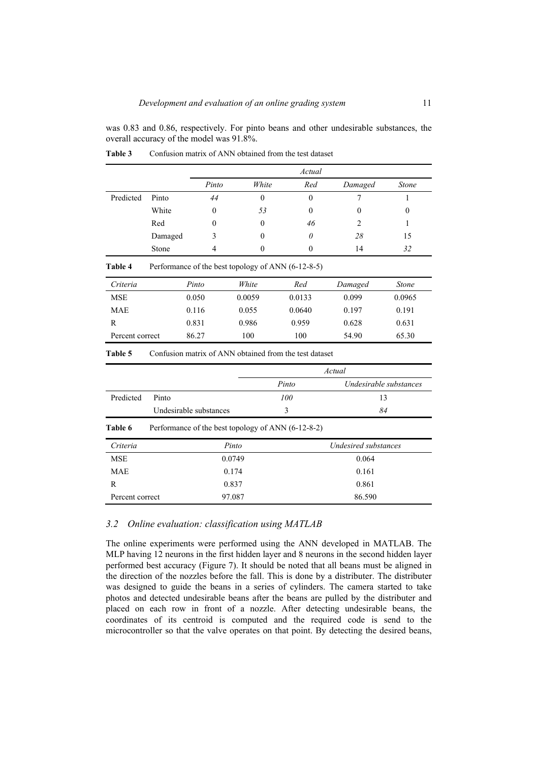was 0.83 and 0.86, respectively. For pinto beans and other undesirable substances, the overall accuracy of the model was 91.8%.

|                 |                           |                                                    |              | Actual                                                 |                        |              |  |
|-----------------|---------------------------|----------------------------------------------------|--------------|--------------------------------------------------------|------------------------|--------------|--|
|                 |                           | Pinto                                              | White        | Red                                                    | Damaged                | <b>Stone</b> |  |
| Predicted       | Pinto                     | 44                                                 | $\theta$     | $\theta$                                               | 7                      | 1            |  |
|                 | White                     | $\theta$                                           | 53           | $\Omega$                                               | $\theta$               | $\theta$     |  |
|                 | Red                       | $\theta$                                           | $\theta$     | 46                                                     | $\overline{c}$         | 1            |  |
|                 | Damaged                   | 3                                                  | 0            | $\theta$                                               | 28                     | 15           |  |
|                 | Stone                     | 4                                                  | $\mathbf{0}$ | $\theta$                                               | 14                     | 32           |  |
| Table 4         |                           | Performance of the best topology of ANN (6-12-8-5) |              |                                                        |                        |              |  |
| Criteria        |                           | Pinto                                              | White        | Red                                                    | Damaged                | <b>Stone</b> |  |
| <b>MSE</b>      |                           | 0.050                                              | 0.0059       | 0.0133                                                 | 0.099                  | 0.0965       |  |
| <b>MAE</b>      |                           | 0.116                                              | 0.055        | 0.0640                                                 | 0.197                  | 0.191        |  |
| R               |                           | 0.831                                              | 0.986        | 0.959                                                  | 0.628                  | 0.631        |  |
| Percent correct |                           | 86.27                                              | 100          | 100                                                    | 54.90                  | 65.30        |  |
| Table 5         |                           |                                                    |              | Confusion matrix of ANN obtained from the test dataset |                        |              |  |
|                 |                           |                                                    |              |                                                        | Actual                 |              |  |
|                 |                           |                                                    |              | Pinto                                                  | Undesirable substances |              |  |
| Predicted       | Pinto                     |                                                    |              | 100                                                    | 13                     |              |  |
|                 |                           | Undesirable substances                             | 3            |                                                        |                        | 84           |  |
| Table 6         |                           | Performance of the best topology of ANN (6-12-8-2) |              |                                                        |                        |              |  |
| Criteria        | Pinto                     |                                                    |              |                                                        | Undesired substances   |              |  |
| <b>MSE</b>      |                           | 0.0749                                             |              | 0.064                                                  |                        |              |  |
| <b>MAE</b>      |                           |                                                    | 0.174        |                                                        | 0.161                  |              |  |
| R               |                           | 0.837                                              |              |                                                        | 0.861                  |              |  |
|                 | 97.087<br>Percent correct |                                                    |              | 86.590                                                 |                        |              |  |

**Table 3** Confusion matrix of ANN obtained from the test dataset

# *3.2 Online evaluation: classification using MATLAB*

The online experiments were performed using the ANN developed in MATLAB. The MLP having 12 neurons in the first hidden layer and 8 neurons in the second hidden layer performed best accuracy (Figure 7). It should be noted that all beans must be aligned in the direction of the nozzles before the fall. This is done by a distributer. The distributer was designed to guide the beans in a series of cylinders. The camera started to take photos and detected undesirable beans after the beans are pulled by the distributer and placed on each row in front of a nozzle. After detecting undesirable beans, the coordinates of its centroid is computed and the required code is send to the microcontroller so that the valve operates on that point. By detecting the desired beans,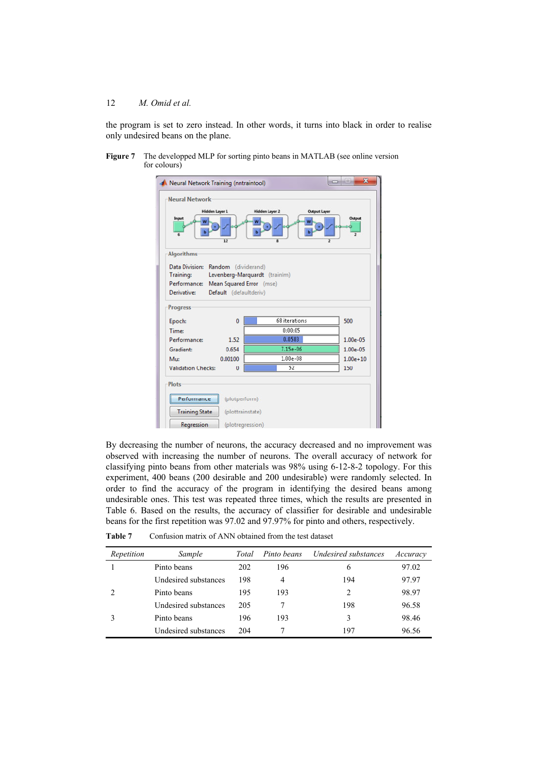the program is set to zero instead. In other words, it turns into black in order to realise only undesired beans on the plane.

**Figure 7** The developped MLP for sorting pinto beans in MATLAB (see online version for colours)

| <b>Neural Network</b>                                                  |                             |                                              |                          |
|------------------------------------------------------------------------|-----------------------------|----------------------------------------------|--------------------------|
| Input                                                                  | <b>Hidden Layer 1</b><br>12 | <b>Hidden Layer 2</b><br><b>Output Layer</b> | Output<br>$\overline{2}$ |
| <b>Algorithms</b>                                                      |                             |                                              |                          |
| Data Division: Random (dividerand)                                     |                             |                                              |                          |
| Training: Levenberg-Marquardt (trainlm)                                |                             |                                              |                          |
| Performance: Mean Squared Error (mse)                                  |                             |                                              |                          |
| Derivative:                                                            | Default (defaultderiv)      |                                              |                          |
| <b>Progress</b>                                                        |                             |                                              |                          |
| Epoch:                                                                 | 0                           | 68 iterations                                | 500                      |
|                                                                        |                             |                                              |                          |
|                                                                        |                             | 0:00:05                                      |                          |
|                                                                        | 1.52                        | 0.0583                                       | $1.00e-05$               |
|                                                                        | 0.654                       | $7.15e-06$                                   | $1.00e-05$               |
|                                                                        | 0.00100                     | $1.00e-08$                                   | $1.00e + 10$             |
| Time:<br>Performance:<br>Gradient:<br>Mus<br><b>Validation Checks:</b> | $\bf{0}$                    | 52                                           | 150                      |
|                                                                        |                             |                                              |                          |
| Performance                                                            | (plotperform)               |                                              |                          |
| <b>Plots</b><br><b>Training State</b>                                  | (plottrainstate)            |                                              |                          |

By decreasing the number of neurons, the accuracy decreased and no improvement was observed with increasing the number of neurons. The overall accuracy of network for classifying pinto beans from other materials was 98% using 6-12-8-2 topology. For this experiment, 400 beans (200 desirable and 200 undesirable) were randomly selected. In order to find the accuracy of the program in identifying the desired beans among undesirable ones. This test was repeated three times, which the results are presented in Table 6. Based on the results, the accuracy of classifier for desirable and undesirable beans for the first repetition was 97.02 and 97.97% for pinto and others, respectively.

| Repetition | Sample               | Total | Pinto beans | Undesired substances | Accuracy |
|------------|----------------------|-------|-------------|----------------------|----------|
|            | Pinto beans          | 202   | 196         | 6                    | 97.02    |
|            | Undesired substances | 198   | 4           | 194                  | 97.97    |
|            | Pinto beans          | 195   | 193         | 2                    | 98.97    |
|            | Undesired substances | 205   |             | 198                  | 96.58    |
|            | Pinto beans          | 196   | 193         | 3                    | 98.46    |
|            | Undesired substances | 204   |             | 197                  | 96.56    |

**Table 7** Confusion matrix of ANN obtained from the test dataset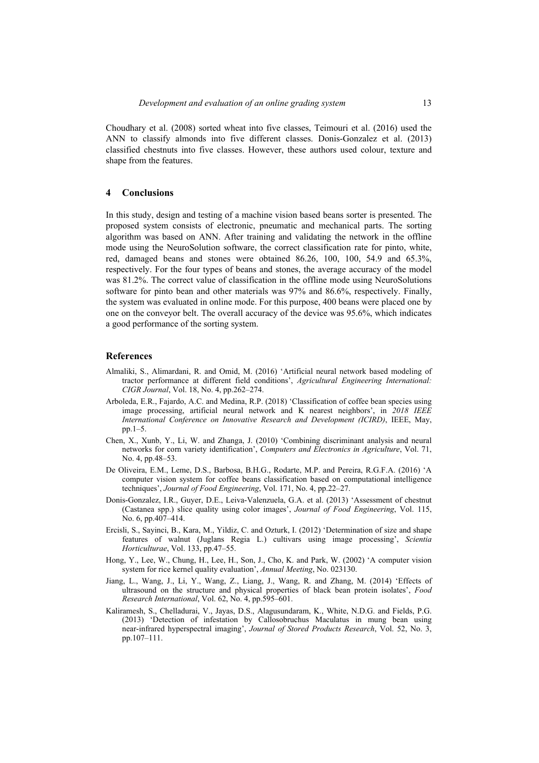Choudhary et al. (2008) sorted wheat into five classes, Teimouri et al. (2016) used the ANN to classify almonds into five different classes. Donis-Gonzalez et al. (2013) classified chestnuts into five classes. However, these authors used colour, texture and shape from the features.

## **4 Conclusions**

In this study, design and testing of a machine vision based beans sorter is presented. The proposed system consists of electronic, pneumatic and mechanical parts. The sorting algorithm was based on ANN. After training and validating the network in the offline mode using the NeuroSolution software, the correct classification rate for pinto, white, red, damaged beans and stones were obtained 86.26, 100, 100, 54.9 and 65.3%, respectively. For the four types of beans and stones, the average accuracy of the model was 81.2%. The correct value of classification in the offline mode using NeuroSolutions software for pinto bean and other materials was 97% and 86.6%, respectively. Finally, the system was evaluated in online mode. For this purpose, 400 beans were placed one by one on the conveyor belt. The overall accuracy of the device was 95.6%, which indicates a good performance of the sorting system.

## **References**

- Almaliki, S., Alimardani, R. and Omid, M. (2016) 'Artificial neural network based modeling of tractor performance at different field conditions', *Agricultural Engineering International: CIGR Journal*, Vol. 18, No. 4, pp.262–274.
- Arboleda, E.R., Fajardo, A.C. and Medina, R.P. (2018) 'Classification of coffee bean species using image processing, artificial neural network and K nearest neighbors', in *2018 IEEE International Conference on Innovative Research and Development (ICIRD)*, IEEE, May, pp.1–5.
- Chen, X., Xunb, Y., Li, W. and Zhanga, J. (2010) 'Combining discriminant analysis and neural networks for corn variety identification', *Computers and Electronics in Agriculture*, Vol. 71, No. 4, pp.48–53.
- De Oliveira, E.M., Leme, D.S., Barbosa, B.H.G., Rodarte, M.P. and Pereira, R.G.F.A. (2016) 'A computer vision system for coffee beans classification based on computational intelligence techniques', *Journal of Food Engineering*, Vol. 171, No. 4, pp.22–27.
- Donis-Gonzalez, I.R., Guyer, D.E., Leiva-Valenzuela, G.A. et al. (2013) 'Assessment of chestnut (Castanea spp.) slice quality using color images', *Journal of Food Engineering*, Vol. 115, No. 6, pp.407–414.
- Ercisli, S., Sayinci, B., Kara, M., Yildiz, C. and Ozturk, I. (2012) 'Determination of size and shape features of walnut (Juglans Regia L.) cultivars using image processing', *Scientia Horticulturae*, Vol. 133, pp.47–55.
- Hong, Y., Lee, W., Chung, H., Lee, H., Son, J., Cho, K. and Park, W. (2002) 'A computer vision system for rice kernel quality evaluation', *Annual Meeting*, No. 023130.
- Jiang, L., Wang, J., Li, Y., Wang, Z., Liang, J., Wang, R. and Zhang, M. (2014) 'Effects of ultrasound on the structure and physical properties of black bean protein isolates', *Food Research International*, Vol. 62, No. 4, pp.595–601.
- Kaliramesh, S., Chelladurai, V., Jayas, D.S., Alagusundaram, K., White, N.D.G. and Fields, P.G. (2013) 'Detection of infestation by Callosobruchus Maculatus in mung bean using near-infrared hyperspectral imaging', *Journal of Stored Products Research*, Vol. 52, No. 3, pp.107–111.